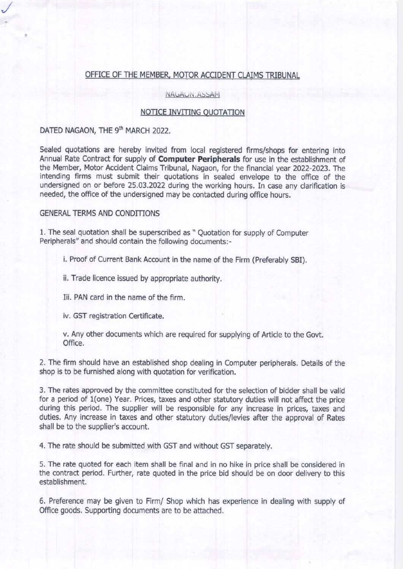### OFFICE OF THE MEMBER, MOTOR ACCIDENT CLAIMS TRIBUNAL

NAGAUN: ASSAM

#### NOTICE INVITING OUOTATION

# DATED NAGAON, THE 9th MARCH 2022.

Sealed quotations are hereby invited from local registered firms/shops for entering into Annual Rate Contract for supply of **Computer Peripherals** for use in the establishment of the Member, Motor Accident Claims Tribunal, Nagaon, for the financial year 2022-2023. The intending firms must submit their quotations in sealed envelope to the office of the undersigned on or before 25.03.2022 during the working hours. In case any clarification is needed, the office of the undersigned may be contacted during office hours.

#### **GENERAL TERMS AND CONDITIONS**

1. The seal quotation shall be superscribed as " Quotation for supply of Computer Peripherals" and should contain the following documents:-

i. Proof of Current Bank Account in the name of the Firm (Preferably SBI).

ii. Trade licence issued by appropriate authority.

Iii. PAN card in the name of the firm.

iv. GST registration Certificate.

v. Any other documents which are required for supplying of Article to the Govt. Office.

2. The firm should have an established shop dealing in Computer peripherals. Details of the shop is to be furnished along with quotation for verification.

3. The rates approved by the committee constituted for the selection of bidder shall be valid for a period of 1(one) Year. Prices, taxes and other statutory duties will not affect the price during this period. The supplier will be responsible for any increase in prices, taxes and duties, Any increase in taxes and other statutory duties/levies after the approval of Rates shall be to the supplier's account.

4. The rate should be submitted with GST and without GST separately.

5. The rate quoted for each item shall be final and in no hike in price shall be considered in the contract period. Further, rate quoted in the price bid should be on door delivery to this establishment.

6. Preference may be given to Firm/ Shop which has experience in dealing with supply of Office goods. Supporting documents are to be attached.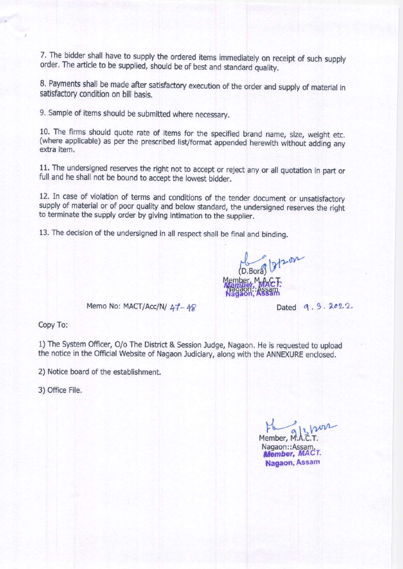7. The bidder shall have to supply the ordered items immediately on receipt of such supply order. The article to be supplied, should be of best and standard quality.

8. Payments shall be made after satisfactory execution of the order and supply of material in satisfactory condition on bill basis.

9. Sample of items should be submitted where necessary.

10. The firms should quote rate of items for the specified brand name, size, weight etc. (where applicable) as per the prescribed list/format appended herewith without adding any extra item.

11. The undersigned reserves the right not to accept or reject any or all quotation in part or full and he shall not be bound to accept the lowest bidder.

12. In case of violation of terms and conditions of the tender document or unsatisfactory supply of material or of poor quality and below standard, the undersigned reserves the right to terminate the supply order by giving intimation to the supplier.

13. The decision of the undersigned in all respect shall be final and binding.

(D.Boral) 2/202 "Nagaon": Assam

Memo No: MACT/Acc/N/  $47 - 48$  Dated q. 3.  $2022$ 

Copy To:

1) The System Officer, O/o The District & Session Judge, Nagaon. He is requested to upload the notice in the Official Website of Nagaon Judiciary, along with the ANNEXURE enclosed.

2) Notice board of the establishment.

3) office File.

 $\nu$ Member, M.A.C.T.

Nagaon:: Assam. Member, MACT. Nagaon, Assam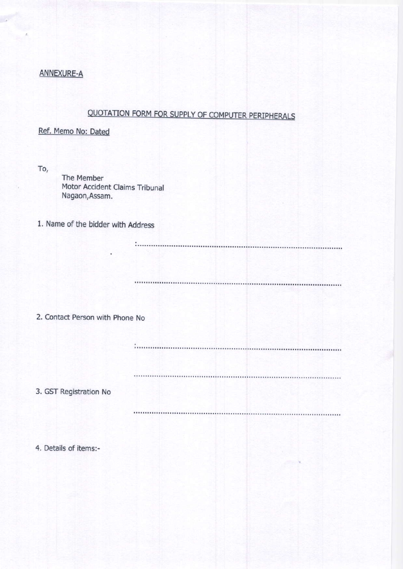# ANNEXURE.A

# QUOTATION FORM FOR SUPPLY OF COMPUTER PERIPHERALS

# Ref. Memo No: Dated

To,

The Member Motor Accident Claims Tribunal Nagaon,Assam.

1. Name of the bidder with Address

2. Contact Person with Phone No

3. GST Registration No

4, Details of items:-